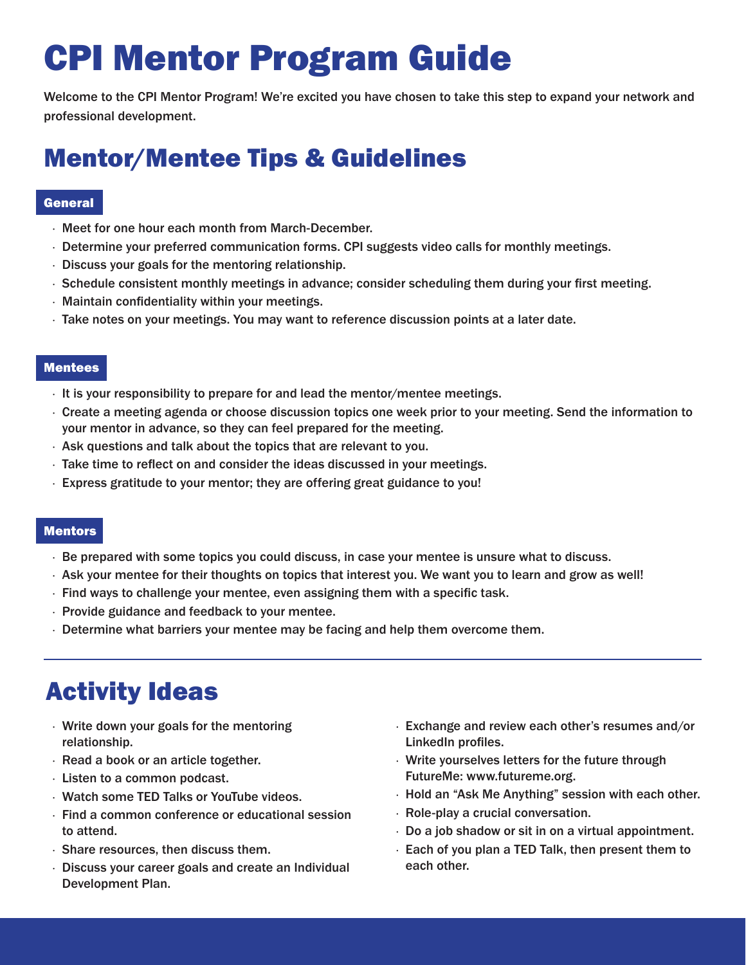# CPI Mentor Program Guide

Welcome to the CPI Mentor Program! We're excited you have chosen to take this step to expand your network and professional development.

# Mentor/Mentee Tips & Guidelines

## **General**

- · Meet for one hour each month from March-December.
- · Determine your preferred communication forms. CPI suggests video calls for monthly meetings.
- · Discuss your goals for the mentoring relationship.
- · Schedule consistent monthly meetings in advance; consider scheduling them during your first meeting.
- · Maintain confidentiality within your meetings.
- · Take notes on your meetings. You may want to reference discussion points at a later date.

#### Mentees

- · It is your responsibility to prepare for and lead the mentor/mentee meetings.
- · Create a meeting agenda or choose discussion topics one week prior to your meeting. Send the information to your mentor in advance, so they can feel prepared for the meeting.
- · Ask questions and talk about the topics that are relevant to you.
- · Take time to reflect on and consider the ideas discussed in your meetings.
- · Express gratitude to your mentor; they are offering great guidance to you!

#### **Mentors**

- · Be prepared with some topics you could discuss, in case your mentee is unsure what to discuss.
- · Ask your mentee for their thoughts on topics that interest you. We want you to learn and grow as well!
- $\cdot$  Find ways to challenge your mentee, even assigning them with a specific task.
- · Provide guidance and feedback to your mentee.
- · Determine what barriers your mentee may be facing and help them overcome them.

# Activity Ideas

- · Write down your goals for the mentoring relationship.
- · Read a book or an article together.
- · Listen to a common podcast.
- · Watch some TED Talks or YouTube videos.
- · Find a common conference or educational session to attend.
- · Share resources, then discuss them.
- · Discuss your career goals and create an Individual Development Plan.
- · Exchange and review each other's resumes and/or LinkedIn profiles.
- · Write yourselves letters for the future through FutureMe: www.futureme.org.
- · Hold an "Ask Me Anything" session with each other.
- · Role-play a crucial conversation.
- · Do a job shadow or sit in on a virtual appointment.
- · Each of you plan a TED Talk, then present them to each other.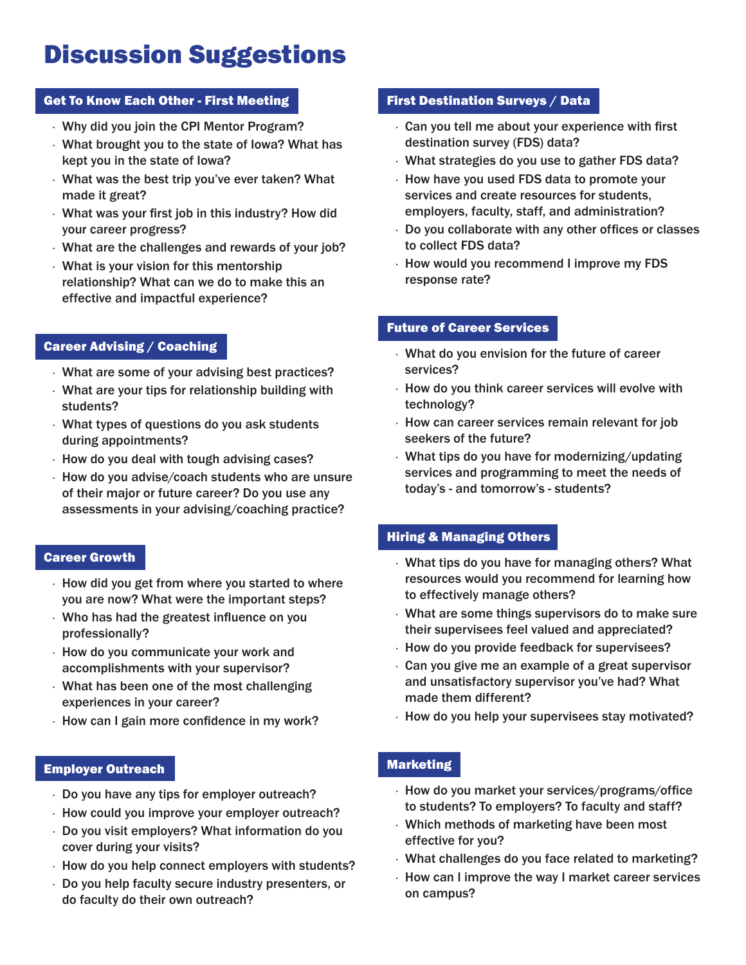# Discussion Suggestions

### Get To Know Each Other - First Meeting

- · Why did you join the CPI Mentor Program?
- · What brought you to the state of Iowa? What has kept you in the state of Iowa?
- · What was the best trip you've ever taken? What made it great?
- · What was your first job in this industry? How did your career progress?
- · What are the challenges and rewards of your job?
- · What is your vision for this mentorship relationship? What can we do to make this an effective and impactful experience?

# Career Advising / Coaching

- · What are some of your advising best practices?
- · What are your tips for relationship building with students?
- · What types of questions do you ask students during appointments?
- · How do you deal with tough advising cases?
- · How do you advise/coach students who are unsure of their major or future career? Do you use any assessments in your advising/coaching practice?

### Career Growth

- · How did you get from where you started to where you are now? What were the important steps?
- · Who has had the greatest influence on you professionally?
- · How do you communicate your work and accomplishments with your supervisor?
- · What has been one of the most challenging experiences in your career?
- · How can I gain more confidence in my work?

### Employer Outreach

- · Do you have any tips for employer outreach?
- · How could you improve your employer outreach?
- · Do you visit employers? What information do you cover during your visits?
- · How do you help connect employers with students?
- · Do you help faculty secure industry presenters, or do faculty do their own outreach?

## First Destination Surveys / Data

- · Can you tell me about your experience with first destination survey (FDS) data?
- · What strategies do you use to gather FDS data?
- · How have you used FDS data to promote your services and create resources for students, employers, faculty, staff, and administration?
- · Do you collaborate with any other offices or classes to collect FDS data?
- · How would you recommend I improve my FDS response rate?

### Future of Career Services

- · What do you envision for the future of career services?
- · How do you think career services will evolve with technology?
- · How can career services remain relevant for job seekers of the future?
- · What tips do you have for modernizing/updating services and programming to meet the needs of today's - and tomorrow's - students?

# Hiring & Managing Others

- · What tips do you have for managing others? What resources would you recommend for learning how to effectively manage others?
- · What are some things supervisors do to make sure their supervisees feel valued and appreciated?
- · How do you provide feedback for supervisees?
- · Can you give me an example of a great supervisor and unsatisfactory supervisor you've had? What made them different?
- · How do you help your supervisees stay motivated?

# Marketing

- · How do you market your services/programs/office to students? To employers? To faculty and staff?
- · Which methods of marketing have been most effective for you?
- · What challenges do you face related to marketing?
- · How can I improve the way I market career services on campus?